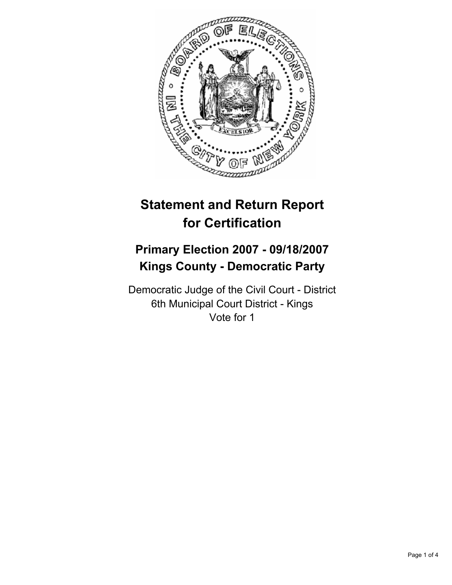

# **Statement and Return Report for Certification**

## **Primary Election 2007 - 09/18/2007 Kings County - Democratic Party**

Democratic Judge of the Civil Court - District 6th Municipal Court District - Kings Vote for 1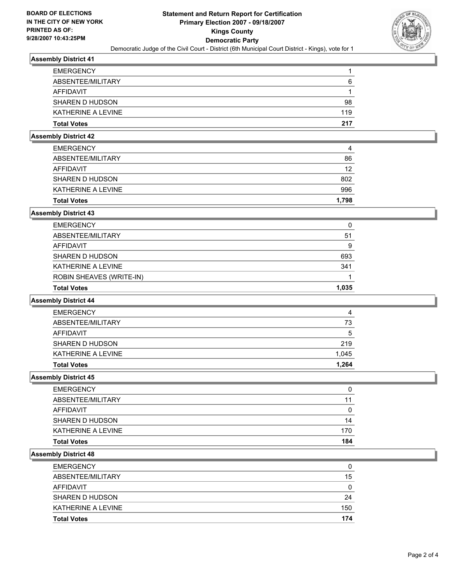

#### **Assembly District 41**

| <b>EMERGENCY</b>   |     |
|--------------------|-----|
| ABSENTEE/MILITARY  | 6   |
| AFFIDAVIT          |     |
| SHAREN D HUDSON    | 98  |
| KATHERINE A LEVINE | 119 |
| <b>Total Votes</b> | 217 |

### **Assembly District 42**

| <b>EMERGENCY</b>   | 4     |
|--------------------|-------|
| ABSENTEE/MILITARY  | 86    |
| AFFIDAVIT          | 12    |
| SHAREN D HUDSON    | 802   |
| KATHERINE A LEVINE | 996   |
| <b>Total Votes</b> | 1,798 |

## **Assembly District 43**

| <b>Total Votes</b>              | 1,035 |
|---------------------------------|-------|
| <b>ROBIN SHEAVES (WRITE-IN)</b> |       |
| KATHERINE A LEVINE              | 341   |
| SHAREN D HUDSON                 | 693   |
| AFFIDAVIT                       |       |
| ABSENTEE/MILITARY               | 51    |
| <b>EMERGENCY</b>                | U     |

#### **Assembly District 44**

| <b>EMERGENCY</b>   | 4     |
|--------------------|-------|
| ABSENTEE/MILITARY  | 73    |
| AFFIDAVIT          | 5     |
| SHAREN D HUDSON    | 219   |
| KATHERINE A LEVINE | 1,045 |
| <b>Total Votes</b> | 1,264 |

#### **Assembly District 45**

| <b>Total Votes</b> | 184 |
|--------------------|-----|
| KATHERINE A LEVINE | 170 |
| SHAREN D HUDSON    | 14  |
| <b>AFFIDAVIT</b>   |     |
| ABSENTEE/MILITARY  | 11  |
| <b>EMERGENCY</b>   |     |

## **Assembly District 48**

| <b>Total Votes</b> | 174 |
|--------------------|-----|
| KATHERINE A LEVINE | 150 |
| SHAREN D HUDSON    | 24  |
| AFFIDAVIT          | 0   |
| ABSENTEE/MILITARY  | 15  |
| <b>EMERGENCY</b>   | 0   |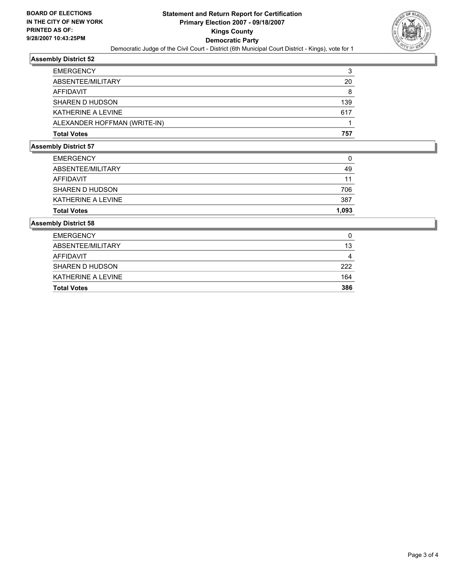

## **Assembly District 52**

| <b>EMERGENCY</b>             | າ   |
|------------------------------|-----|
| ABSENTEE/MILITARY            | 20  |
| AFFIDAVIT                    | 8   |
| SHAREN D HUDSON              | 139 |
| KATHERINE A LEVINE           | 617 |
| ALEXANDER HOFFMAN (WRITE-IN) |     |
| <b>Total Votes</b>           | 757 |

#### **Assembly District 57**

| <b>Total Votes</b> | 1,093 |
|--------------------|-------|
| KATHERINE A LEVINE | 387   |
| SHAREN D HUDSON    | 706   |
| AFFIDAVIT          | 11    |
| ABSENTEE/MILITARY  | 49    |
| <b>EMERGENCY</b>   | 0     |

#### **Assembly District 58**

| <b>EMERGENCY</b><br>ABSENTEE/MILITARY | 13  |
|---------------------------------------|-----|
| AFFIDAVIT                             | 4   |
| SHAREN D HUDSON                       | 222 |
| KATHERINE A LEVINE                    | 164 |
| <b>Total Votes</b>                    | 386 |